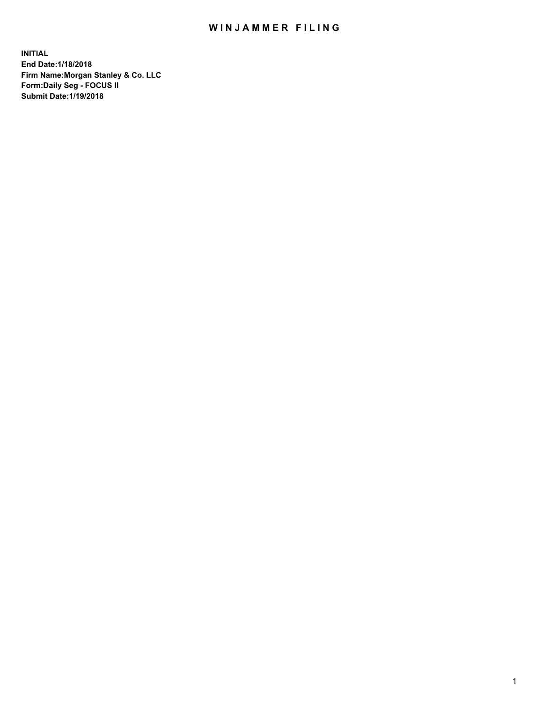## WIN JAMMER FILING

**INITIAL End Date:1/18/2018 Firm Name:Morgan Stanley & Co. LLC Form:Daily Seg - FOCUS II Submit Date:1/19/2018**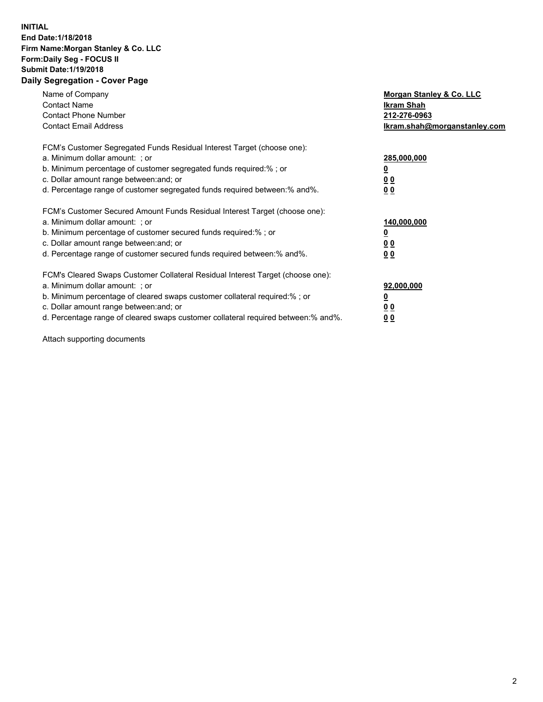### **INITIAL End Date:1/18/2018 Firm Name:Morgan Stanley & Co. LLC Form:Daily Seg - FOCUS II Submit Date:1/19/2018 Daily Segregation - Cover Page**

| Name of Company<br><b>Contact Name</b><br><b>Contact Phone Number</b><br><b>Contact Email Address</b>                                                                                                                                                                                                                         | Morgan Stanley & Co. LLC<br>Ikram Shah<br>212-276-0963<br>lkram.shah@morganstanley.com |
|-------------------------------------------------------------------------------------------------------------------------------------------------------------------------------------------------------------------------------------------------------------------------------------------------------------------------------|----------------------------------------------------------------------------------------|
| FCM's Customer Segregated Funds Residual Interest Target (choose one):<br>a. Minimum dollar amount: ; or<br>b. Minimum percentage of customer segregated funds required:%; or<br>c. Dollar amount range between: and; or<br>d. Percentage range of customer segregated funds required between:% and%.                         | 285,000,000<br>0 <sub>0</sub><br>00                                                    |
| FCM's Customer Secured Amount Funds Residual Interest Target (choose one):<br>a. Minimum dollar amount: ; or<br>b. Minimum percentage of customer secured funds required:%; or<br>c. Dollar amount range between: and; or<br>d. Percentage range of customer secured funds required between:% and%.                           | 140,000,000<br>0 <sub>0</sub><br>0 <sub>0</sub>                                        |
| FCM's Cleared Swaps Customer Collateral Residual Interest Target (choose one):<br>a. Minimum dollar amount: ; or<br>b. Minimum percentage of cleared swaps customer collateral required:%; or<br>c. Dollar amount range between: and; or<br>d. Percentage range of cleared swaps customer collateral required between:% and%. | 92,000,000<br>0 <sub>0</sub><br><u>00</u>                                              |

Attach supporting documents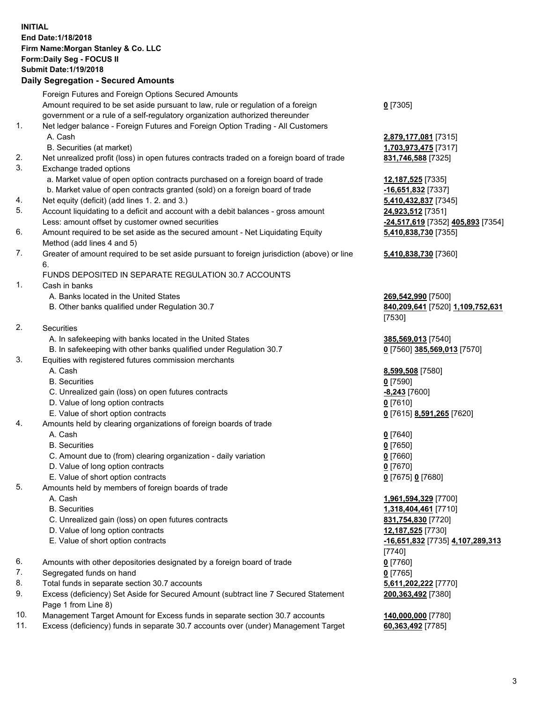# **INITIAL End Date:1/18/2018 Firm Name:Morgan Stanley & Co. LLC Form:Daily Seg - FOCUS II Submit Date:1/19/2018**

### **Daily Segregation - Secured Amounts**

Foreign Futures and Foreign Options Secured Amounts Amount required to be set aside pursuant to law, rule or regulation of a foreign government or a rule of a self-regulatory organization authorized thereunder 1. Net ledger balance - Foreign Futures and Foreign Option Trading - All Customers A. Cash **2,879,177,081** [7315] B. Securities (at market) **1,703,973,475** [7317] 2. Net unrealized profit (loss) in open futures contracts traded on a foreign board of trade **831,746,588** [7325] 3. Exchange traded options a. Market value of open option contracts purchased on a foreign board of trade **12,187,525** [7335] b. Market value of open contracts granted (sold) on a foreign board of trade **-16,651,832** [7337] 4. Net equity (deficit) (add lines 1. 2. and 3.) **5,410,432,837** [7345] 5. Account liquidating to a deficit and account with a debit balances - gross amount **24,923,512** [7351] Less: amount offset by customer owned securities **-24,517,619** [7352] **405,893** [7354] 6. Amount required to be set aside as the secured amount - Net Liquidating Equity Method (add lines 4 and 5) 7. Greater of amount required to be set aside pursuant to foreign jurisdiction (above) or line 6. FUNDS DEPOSITED IN SEPARATE REGULATION 30.7 ACCOUNTS 1. Cash in banks A. Banks located in the United States **269,542,990** [7500] B. Other banks qualified under Regulation 30.7 **840,209,641** [7520] **1,109,752,631** 2. Securities A. In safekeeping with banks located in the United States **385,569,013** [7540] B. In safekeeping with other banks qualified under Regulation 30.7 **0** [7560] **385,569,013** [7570] 3. Equities with registered futures commission merchants A. Cash **8,599,508** [7580] B. Securities **0** [7590] C. Unrealized gain (loss) on open futures contracts **-8,243** [7600] D. Value of long option contracts **0** [7610] E. Value of short option contracts **0** [7615] **8,591,265** [7620] 4. Amounts held by clearing organizations of foreign boards of trade A. Cash **0** [7640] B. Securities **0** [7650] C. Amount due to (from) clearing organization - daily variation **0** [7660] D. Value of long option contracts **0** [7670] E. Value of short option contracts **0** [7675] **0** [7680] 5. Amounts held by members of foreign boards of trade A. Cash **1,961,594,329** [7700] B. Securities **1,318,404,461** [7710] C. Unrealized gain (loss) on open futures contracts **831,754,830** [7720] D. Value of long option contracts **12,187,525** [7730] E. Value of short option contracts **-16,651,832** [7735] **4,107,289,313** 6. Amounts with other depositories designated by a foreign board of trade **0** [7760] 7. Segregated funds on hand **0** [7765] 8. Total funds in separate section 30.7 accounts **5,611,202,222** [7770] 9. Excess (deficiency) Set Aside for Secured Amount (subtract line 7 Secured Statement Page 1 from Line 8)

- 10. Management Target Amount for Excess funds in separate section 30.7 accounts **140,000,000** [7780]
- 11. Excess (deficiency) funds in separate 30.7 accounts over (under) Management Target **60,363,492** [7785]

**0** [7305]

**5,410,838,730** [7355]

### **5,410,838,730** [7360]

[7530]

[7740] **200,363,492** [7380]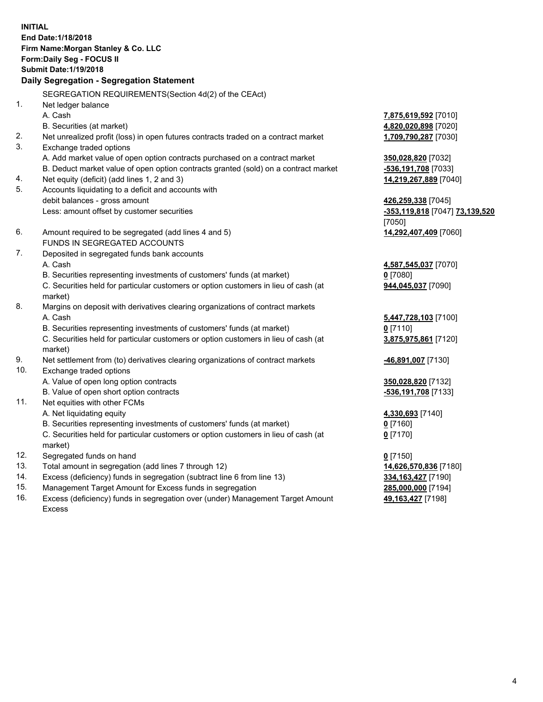**INITIAL End Date:1/18/2018 Firm Name:Morgan Stanley & Co. LLC Form:Daily Seg - FOCUS II Submit Date:1/19/2018 Daily Segregation - Segregation Statement** SEGREGATION REQUIREMENTS(Section 4d(2) of the CEAct) 1. Net ledger balance A. Cash **7,875,619,592** [7010] B. Securities (at market) **4,820,020,898** [7020] 2. Net unrealized profit (loss) in open futures contracts traded on a contract market **1,709,790,287** [7030] 3. Exchange traded options A. Add market value of open option contracts purchased on a contract market **350,028,820** [7032] B. Deduct market value of open option contracts granted (sold) on a contract market **-536,191,708** [7033] 4. Net equity (deficit) (add lines 1, 2 and 3) **14,219,267,889** [7040] 5. Accounts liquidating to a deficit and accounts with debit balances - gross amount **426,259,338** [7045] Less: amount offset by customer securities **-353,119,818** [7047] **73,139,520** [7050] 6. Amount required to be segregated (add lines 4 and 5) **14,292,407,409** [7060] FUNDS IN SEGREGATED ACCOUNTS 7. Deposited in segregated funds bank accounts A. Cash **4,587,545,037** [7070] B. Securities representing investments of customers' funds (at market) **0** [7080] C. Securities held for particular customers or option customers in lieu of cash (at market) **944,045,037** [7090] 8. Margins on deposit with derivatives clearing organizations of contract markets A. Cash **5,447,728,103** [7100] B. Securities representing investments of customers' funds (at market) **0** [7110] C. Securities held for particular customers or option customers in lieu of cash (at market) **3,875,975,861** [7120] 9. Net settlement from (to) derivatives clearing organizations of contract markets **-46,891,007** [7130] 10. Exchange traded options A. Value of open long option contracts **350,028,820** [7132] B. Value of open short option contracts **-536,191,708** [7133] 11. Net equities with other FCMs A. Net liquidating equity **4,330,693** [7140] B. Securities representing investments of customers' funds (at market) **0** [7160] C. Securities held for particular customers or option customers in lieu of cash (at market) **0** [7170] 12. Segregated funds on hand **0** [7150] 13. Total amount in segregation (add lines 7 through 12) **14,626,570,836** [7180] 14. Excess (deficiency) funds in segregation (subtract line 6 from line 13) **334,163,427** [7190]

- 15. Management Target Amount for Excess funds in segregation **285,000,000** [7194]
- 16. Excess (deficiency) funds in segregation over (under) Management Target Amount Excess

**49,163,427** [7198]